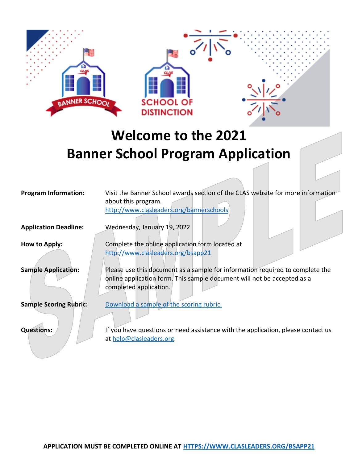

## **Welcome to the 2021 Banner School Program Application**

| <b>Program Information:</b>   | Visit the Banner School awards section of the CLAS website for more information<br>about this program.<br>http://www.clasleaders.org/bannerschools                                 |
|-------------------------------|------------------------------------------------------------------------------------------------------------------------------------------------------------------------------------|
| <b>Application Deadline:</b>  | Wednesday, January 19, 2022                                                                                                                                                        |
| How to Apply:                 | Complete the online application form located at<br>http://www.clasleaders.org/bsapp21                                                                                              |
| <b>Sample Application:</b>    | Please use this document as a sample for information required to complete the<br>online application form. This sample document will not be accepted as a<br>completed application. |
| <b>Sample Scoring Rubric:</b> | Download a sample of the scoring rubric.                                                                                                                                           |
| <b>Questions:</b>             | If you have questions or need assistance with the application, please contact us<br>at help@clasleaders.org.                                                                       |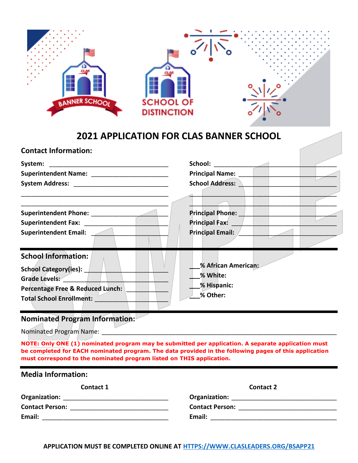| <b>BANNER SCHOOL</b><br><b>2021 APPLICATION FOR CLAS BANNER SCHOOL</b>                                                                                                                                                            | <b>SCHOOL OF</b><br><b>DISTINCTION</b> |                                                                                                                 |  |
|-----------------------------------------------------------------------------------------------------------------------------------------------------------------------------------------------------------------------------------|----------------------------------------|-----------------------------------------------------------------------------------------------------------------|--|
| <b>Contact Information:</b>                                                                                                                                                                                                       |                                        |                                                                                                                 |  |
| System:                                                                                                                                                                                                                           |                                        | School: Analysis of the set of the set of the set of the set of the set of the set of the set of the set of the |  |
| Superintendent Name: _________________________                                                                                                                                                                                    |                                        | Principal Name:                                                                                                 |  |
|                                                                                                                                                                                                                                   |                                        | <b>School Address:</b>                                                                                          |  |
|                                                                                                                                                                                                                                   |                                        |                                                                                                                 |  |
|                                                                                                                                                                                                                                   |                                        | <b>Principal Phone:</b>                                                                                         |  |
|                                                                                                                                                                                                                                   |                                        | Principal Fax:                                                                                                  |  |
| <b>Superintendent Email:</b>                                                                                                                                                                                                      |                                        | Principal Email:                                                                                                |  |
| <b>School Information:</b><br><b>School Category(ies):</b><br>Grade Levels:<br><b>Percentage Free &amp; Reduced Lunch:</b><br><b>Total School Enrollment:</b><br><b>Nominated Program Information:</b><br>Nominated Program Name: |                                        | % African American:<br>% White:<br>% Hispanic:<br>% Other:                                                      |  |

**NOTE: Only ONE (1) nominated program may be submitted per application. A separate application must be completed for EACH nominated program. The data provided in the following pages of this application must correspond to the nominated program listed on THIS application.**

| <b>Media Information:</b>                                                 |                                        |  |  |
|---------------------------------------------------------------------------|----------------------------------------|--|--|
| Contact 1                                                                 | <b>Contact 2</b>                       |  |  |
|                                                                           |                                        |  |  |
| <b>Contact Person:</b><br><u> 1980 - John Stein, Amerikaansk kanton (</u> | <b>Contact Person: Contact Person:</b> |  |  |
| Email:                                                                    | Email:                                 |  |  |
|                                                                           |                                        |  |  |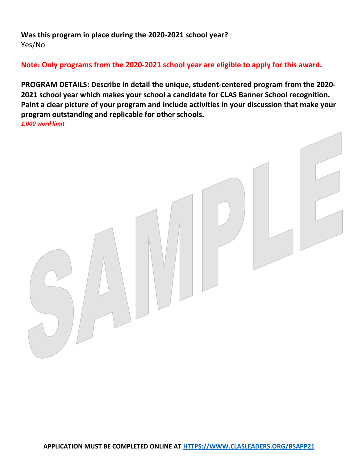**Was this program in place during the 2020-2021 school year?**  Yes/No

**Note: Only programs from the 2020-2021 school year are eligible to apply for this award.**

**PROGRAM DETAILS: Describe in detail the unique, student-centered program from the 2020- 2021 school year which makes your school a candidate for CLAS Banner School recognition. Paint a clear picture of your program and include activities in your discussion that make your program outstanding and replicable for other schools.** *1,000 word limit*